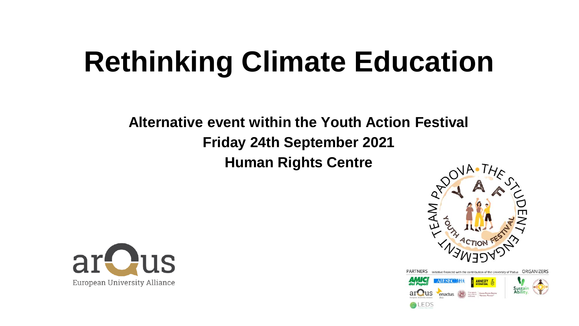## **Rethinking Climate Education**

**Alternative event within the Youth Action Festival Friday 24th September 2021 Human Rights Centre** 





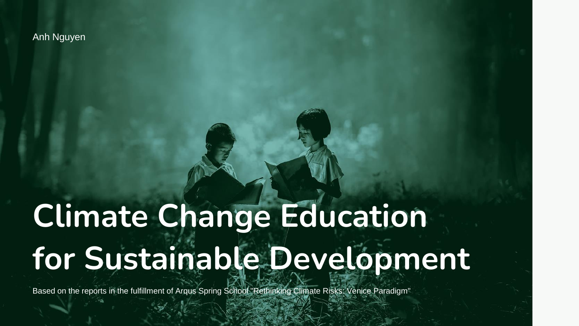**Anh Nguyen** 

## Climate Change Education for Sustainable Development

Based on the reports in the fulfillment of Arqus Spring School "Rethinking Climate Risks: Venice Paradigm"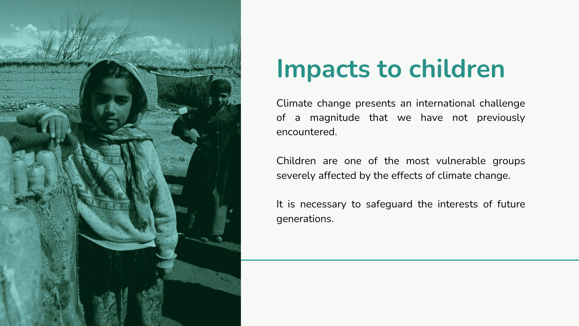

### **Impacts to children**

Climate change presents an international challenge of a magnitude that we have not previously encountered.

Children are one of the most vulnerable groups severely affected by the effects of climate change.

It is necessary to safeguard the interests of future generations.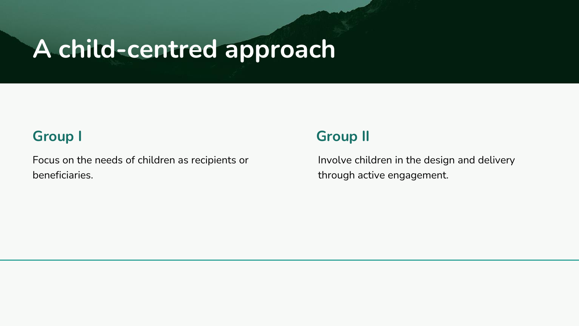### **A child-centred approach**

### **Group I**

Focus on the needs of children as recipients or beneficiaries.

### **Group II**

Involve children in the design and delivery through active engagement.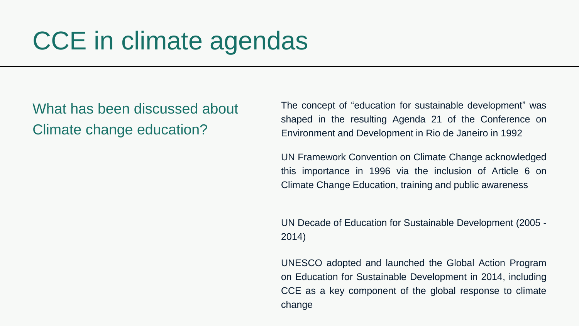### CCE in climate agendas

What has been discussed about Climate change education?

The concept of "education for sustainable development" was shaped in the resulting Agenda 21 of the Conference on Environment and Development in Rio de Janeiro in 1992

UN Framework Convention on Climate Change acknowledged this importance in 1996 via the inclusion of Article 6 on Climate Change Education, training and public awareness

UN Decade of Education for Sustainable Development (2005 - 2014)

UNESCO adopted and launched the Global Action Program on Education for Sustainable Development in 2014, including CCE as a key component of the global response to climate change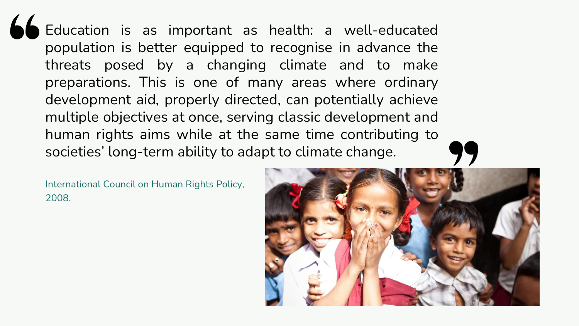Education is as important as health: a well-educated population is better equipped to recognise in advance the threats posed by a changing climate and to make preparations. This is one of many areas where ordinary development aid, properly directed, can potentially achieve multiple objectives at once, serving classic development and human rights aims while at the same time contributing to societies' long-term ability to adapt to climate change.

International Council on Human Rights Policy, 2008.

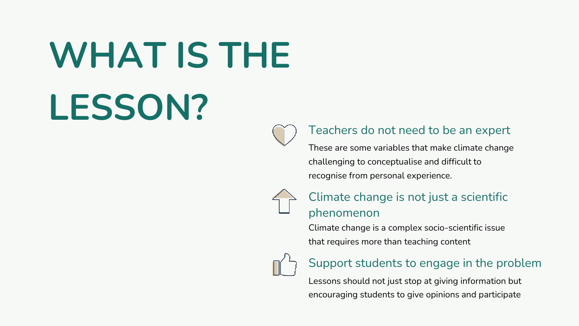# **WHAT IS THE LESSON?**



#### Teachers do not need to be an expert

These are some variables that make climate change challenging to conceptualise and difficult to recognise from personal experience.



#### Climate change is not just a scientific phenomenon

Climate change is a complex socio-scientific issue that requires more than teaching content



#### Support students to engage in the problem

Lessons should not just stop at giving information but encouraging students to give opinions and participate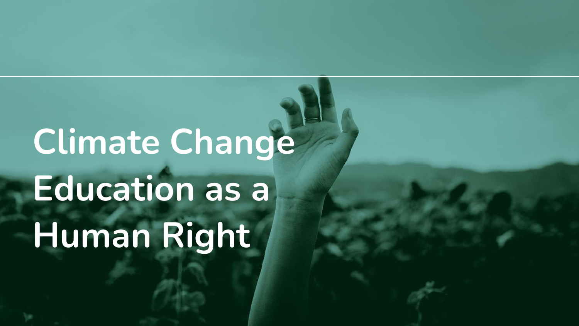# **Climate Change Education as a Human Right**